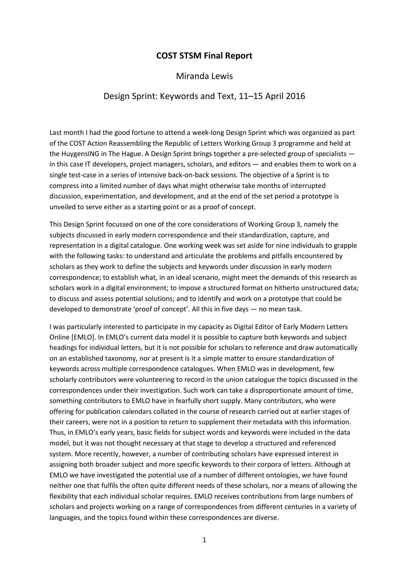## **COST STSM Final Report**

## Miranda Lewis

## Design Sprint: Keywords and Text, 11–15 April 2016

Last month I had the good fortune to attend a week-long Design Sprint which was organized as part of the COST Action Reassembling the Republic of Letters Working Group 3 programme and held at the HuygensING in The Hague. A Design Sprint brings together a pre-selected group of specialists in this case IT developers, project managers, scholars, and editors — and enables them to work on a single test-case in a series of intensive back-on-back sessions. The objective of a Sprint is to compress into a limited number of days what might otherwise take months of interrupted discussion, experimentation, and development, and at the end of the set period a prototype is unveiled to serve either as a starting point or as a proof of concept.

This Design Sprint focussed on one of the core considerations of Working Group 3, namely the subjects discussed in early modern correspondence and their standardization, capture, and representation in a digital catalogue. One working week was set aside for nine individuals to grapple with the following tasks: to understand and articulate the problems and pitfalls encountered by scholars as they work to define the subjects and keywords under discussion in early modern correspondence; to establish what, in an ideal scenario, might meet the demands of this research as scholars work in a digital environment; to impose a structured format on hitherto unstructured data; to discuss and assess potential solutions; and to identify and work on a prototype that could be developed to demonstrate 'proof of concept'. All this in five days — no mean task.

I was particularly interested to participate in my capacity as Digital Editor of Early Modern Letters Online [EMLO]. In EMLO's current data model it is possible to capture both keywords and subject headings for individual letters, but it is not possible for scholars to reference and draw automatically on an established taxonomy, nor at present is it a simple matter to ensure standardization of keywords across multiple correspondence catalogues. When EMLO was in development, few scholarly contributors were volunteering to record in the union catalogue the topics discussed in the correspondences under their investigation. Such work can take a disproportionate amount of time, something contributors to EMLO have in fearfully short supply. Many contributors, who were offering for publication calendars collated in the course of research carried out at earlier stages of their careers, were not in a position to return to supplement their metadata with this information. Thus, in EMLO's early years, basic fields for subject words and keywords were included in the data model, but it was not thought necessary at that stage to develop a structured and referenced system. More recently, however, a number of contributing scholars have expressed interest in assigning both broader subject and more specific keywords to their corpora of letters. Although at EMLO we have investigated the potential use of a number of different ontologies, we have found neither one that fulfils the often quite different needs of these scholars, nor a means of allowing the flexibility that each individual scholar requires. EMLO receives contributions from large numbers of scholars and projects working on a range of correspondences from different centuries in a variety of languages, and the topics found within these correspondences are diverse.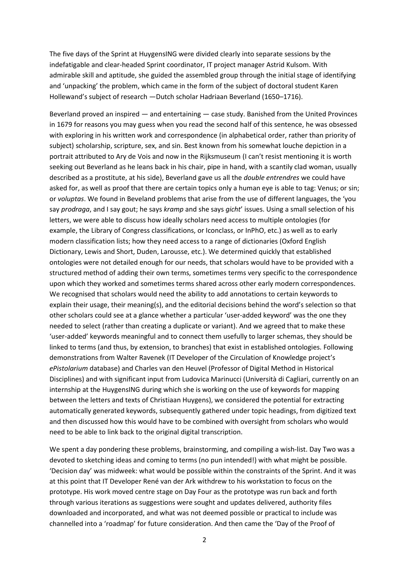The five days of the Sprint at HuygensING were divided clearly into separate sessions by the indefatigable and clear-headed Sprint coordinator, IT project manager Astrid Kulsom. With admirable skill and aptitude, she guided the assembled group through the initial stage of identifying and 'unpacking' the problem, which came in the form of the subject of doctoral student Karen Hollewand's subject of research —Dutch scholar Hadriaan Beverland (1650–1716).

Beverland proved an inspired — and entertaining — case study. Banished from the United Provinces in 1679 for reasons you may guess when you read the second half of this sentence, he was obsessed with exploring in his written work and correspondence (in alphabetical order, rather than priority of subject) scholarship, scripture, sex, and sin. Best known from his somewhat louche depiction in a portrait attributed to Ary de Vois and now in the Rijksmuseum (I can't resist mentioning it is worth seeking out Beverland as he leans back in his chair, pipe in hand, with a scantily clad woman, usually described as a prostitute, at his side), Beverland gave us all the *double entrendres* we could have asked for, as well as proof that there are certain topics only a human eye is able to tag: Venus; or sin; or *voluptas*. We found in Beveland problems that arise from the use of different languages, the 'you say *prodraga*, and I say gout; he says *kramp* and she says *gicht*' issues. Using a small selection of his letters, we were able to discuss how ideally scholars need access to multiple ontologies (for example, the Library of Congress classifications, or Iconclass, or InPhO, etc.) as well as to early modern classification lists; how they need access to a range of dictionaries (Oxford English Dictionary, Lewis and Short, Duden, Larousse, etc.). We determined quickly that established ontologies were not detailed enough for our needs, that scholars would have to be provided with a structured method of adding their own terms, sometimes terms very specific to the correspondence upon which they worked and sometimes terms shared across other early modern correspondences. We recognised that scholars would need the ability to add annotations to certain keywords to explain their usage, their meaning(s), and the editorial decisions behind the word's selection so that other scholars could see at a glance whether a particular 'user-added keyword' was the one they needed to select (rather than creating a duplicate or variant). And we agreed that to make these 'user-added' keywords meaningful and to connect them usefully to larger schemas, they should be linked to terms (and thus, by extension, to branches) that exist in established ontologies. Following demonstrations from Walter Ravenek (IT Developer of the Circulation of Knowledge project's *ePistolarium* database) and Charles van den Heuvel (Professor of Digital Method in Historical Disciplines) and with significant input from Ludovica Marinucci (Università di Cagliari, currently on an internship at the HuygensING during which she is working on the use of keywords for mapping between the letters and texts of Christiaan Huygens), we considered the potential for extracting automatically generated keywords, subsequently gathered under topic headings, from digitized text and then discussed how this would have to be combined with oversight from scholars who would need to be able to link back to the original digital transcription.

We spent a day pondering these problems, brainstorming, and compiling a wish-list. Day Two was a devoted to sketching ideas and coming to terms (no pun intended!) with what might be possible. 'Decision day' was midweek: what would be possible within the constraints of the Sprint. And it was at this point that IT Developer René van der Ark withdrew to his workstation to focus on the prototype. His work moved centre stage on Day Four as the prototype was run back and forth through various iterations as suggestions were sought and updates delivered, authority files downloaded and incorporated, and what was not deemed possible or practical to include was channelled into a 'roadmap' for future consideration. And then came the 'Day of the Proof of